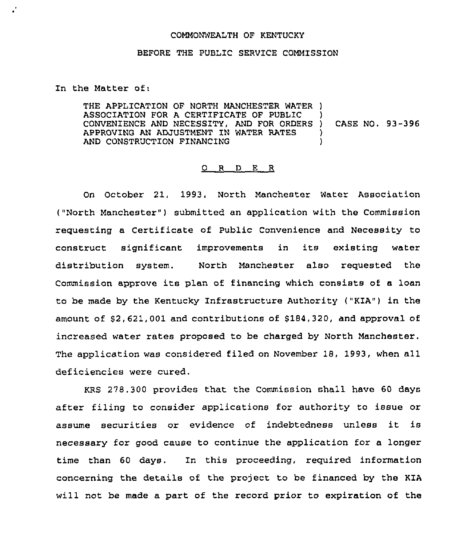## COMMONWEALTH QF KENTUCKY

## BEFORE THE PUBLIC SERVICE COMMISSION

In the Matter of:

÷

THE APPLICATION OF NORTH MANCHESTER WATER ) ASSOCIATION FOR A CERTIFICATE OF PUBLIC ASSOCIATION FOR A CERTIFICATE OF POBLIC<br>CONVENIENCE AND NECESSITY, AND FOR ORDERS ) APPROVING AN ADJUSTMENT IN WATER RATES AND CONSTRUCTION FINANCING ) CASE NO. 93-396 ) )

## 0 R <sup>D</sup> E <sup>R</sup>

On October 21, 1993, North Manchester Water Association ("North Manchester" ) submitted an application with the Commission x'equesting a Certificate of Public Convenience and Necessity to construct significant improvements in its existing water distribution system. North Manchester also requested the Commission approve its plan of financing which consists of <sup>a</sup> loan to be made by the Kentucky infrastructure Authority ("KIA") in the amount of \$2,621,001 and contributions of \$184,320, and approval of increased watex rates proposed to be charged by North Manchester. The application was considered filed on November 18, 1993, when all deficiencies were cured.

KRS 278.300 provides that the Commission shall have 60 days after filing to consider applications for authority to issue or assume securities or evidence of indebtedness unless it is necessary for good cause to continue the application for a longer time than 60 days. In this proceeding, required information concerning the details of the project to be financed by the KIA will not be made a part of the record prior to expiration of the